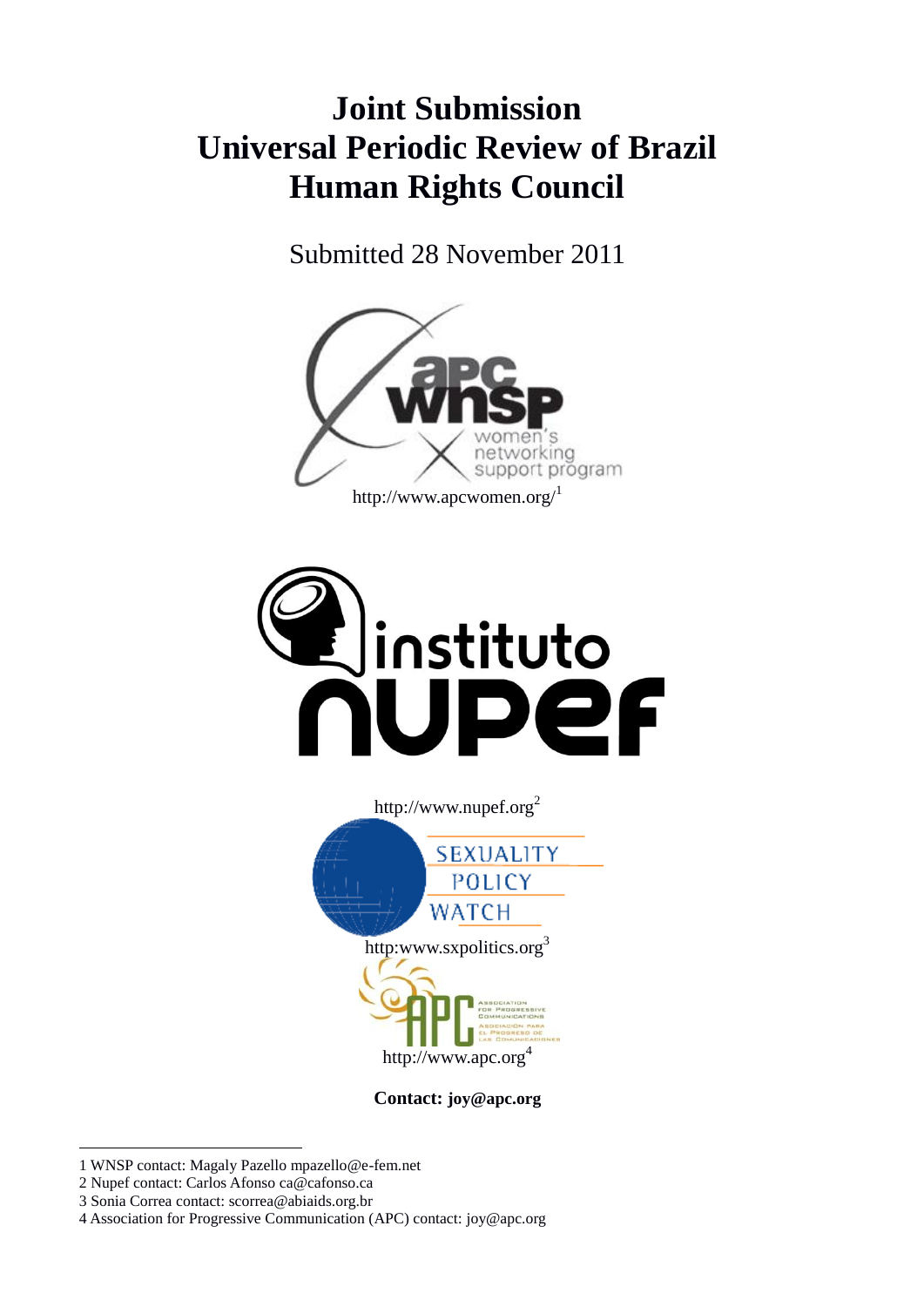# **Joint Submission Universal Periodic Review of Brazil Human Rights Council**

Submitted 28 November 2011







**Contact: joy@apc.org**

- 1 WNSP contact: Magaly Pazello mpazello@e-fem.net
- 2 Nupef contact: Carlos Afonso ca@cafonso.ca

1

- 3 Sonia Correa contact: scorrea@abiaids.org.br
- 4 Association for Progressive Communication (APC) contact: joy@apc.org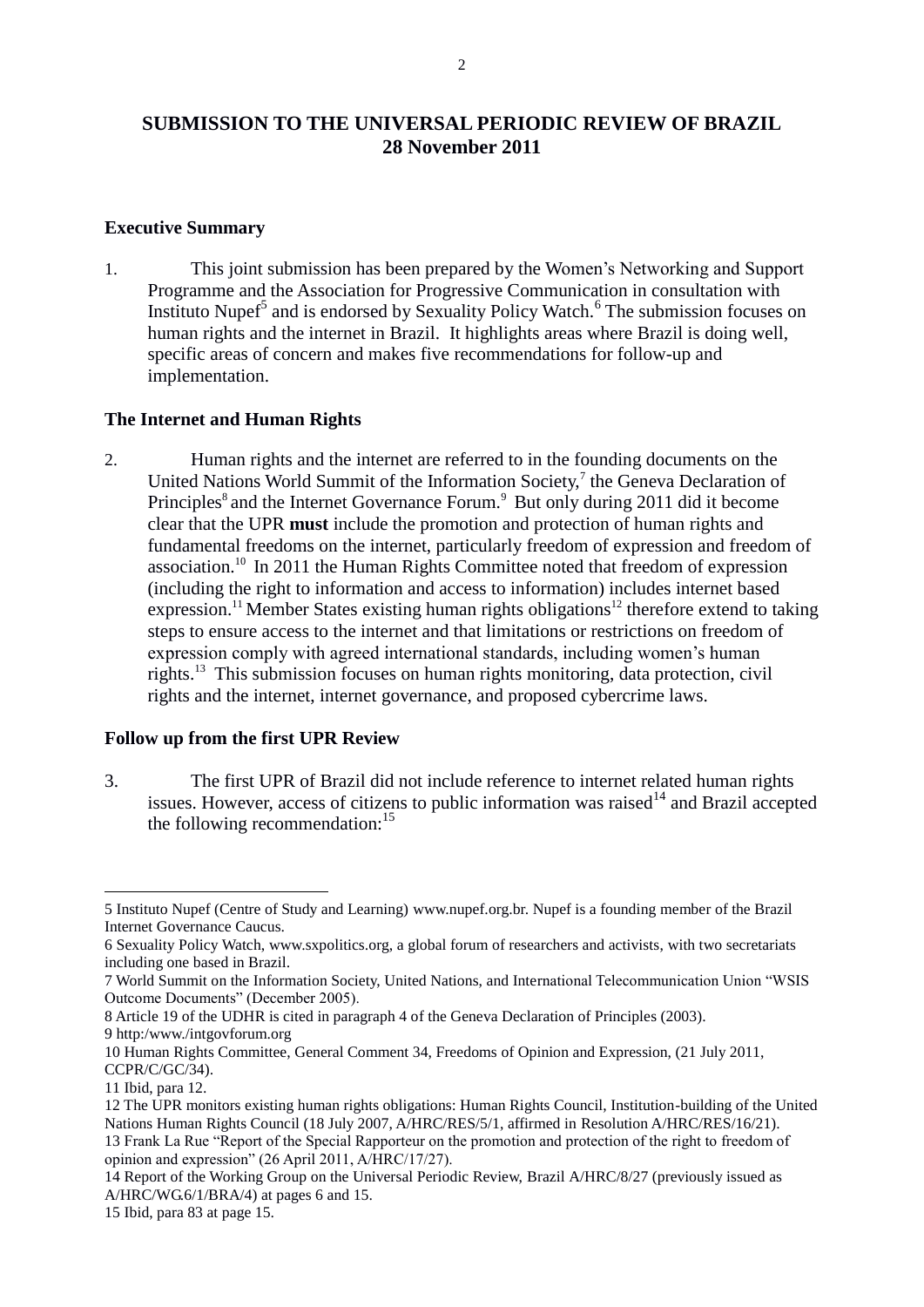# **SUBMISSION TO THE UNIVERSAL PERIODIC REVIEW OF BRAZIL 28 November 2011**

#### **Executive Summary**

1. This joint submission has been prepared by the Women's Networking and Support Programme and the Association for Progressive Communication in consultation with Instituto Nupef<sup>5</sup> and is endorsed by Sexuality Policy Watch.<sup>6</sup> The submission focuses on human rights and the internet in Brazil. It highlights areas where Brazil is doing well, specific areas of concern and makes five recommendations for follow-up and implementation.

#### **The Internet and Human Rights**

2. Human rights and the internet are referred to in the founding documents on the United Nations World Summit of the Information Society,<sup>7</sup> the Geneva Declaration of Principles<sup>8</sup> and the Internet Governance Forum.<sup>9</sup> But only during 2011 did it become clear that the UPR **must** include the promotion and protection of human rights and fundamental freedoms on the internet, particularly freedom of expression and freedom of association.<sup>10</sup> In 2011 the Human Rights Committee noted that freedom of expression (including the right to information and access to information) includes internet based expression.<sup>11</sup> Member States existing human rights obligations<sup>12</sup> therefore extend to taking steps to ensure access to the internet and that limitations or restrictions on freedom of expression comply with agreed international standards, including women's human rights.<sup>13</sup> This submission focuses on human rights monitoring, data protection, civil rights and the internet, internet governance, and proposed cybercrime laws.

# **Follow up from the first UPR Review**

3. The first UPR of Brazil did not include reference to internet related human rights issues. However, access of citizens to public information was raised $14$  and Brazil accepted the following recommendation:  $15$ 

1

<sup>5</sup> Instituto Nupef (Centre of Study and Learning) www.nupef.org.br. Nupef is a founding member of the Brazil Internet Governance Caucus.

<sup>6</sup> Sexuality Policy Watch, www.sxpolitics.org, a global forum of researchers and activists, with two secretariats including one based in Brazil.

<sup>7</sup> World Summit on the Information Society, United Nations, and International Telecommunication Union "WSIS Outcome Documents" (December 2005).

<sup>8</sup> Article 19 of the UDHR is cited in paragraph 4 of the Geneva Declaration of Principles (2003).

<sup>9</sup> http:/www./intgovforum.org

<sup>10</sup> Human Rights Committee, General Comment 34, Freedoms of Opinion and Expression, (21 July 2011, CCPR/C/GC/34).

<sup>11</sup> Ibid, para 12.

<sup>12</sup> The UPR monitors existing human rights obligations: Human Rights Council, Institution-building of the United Nations Human Rights Council (18 July 2007, A/HRC/RES/5/1, affirmed in Resolution A/HRC/RES/16/21). 13 Frank La Rue "Report of the Special Rapporteur on the promotion and protection of the right to freedom of opinion and expression" (26 April 2011, A/HRC/17/27).

<sup>14</sup> Report of the Working Group on the Universal Periodic Review, Brazil A/HRC/8/27 (previously issued as A/HRC/WG.6/1/BRA/4) at pages 6 and 15.

<sup>15</sup> Ibid, para 83 at page 15.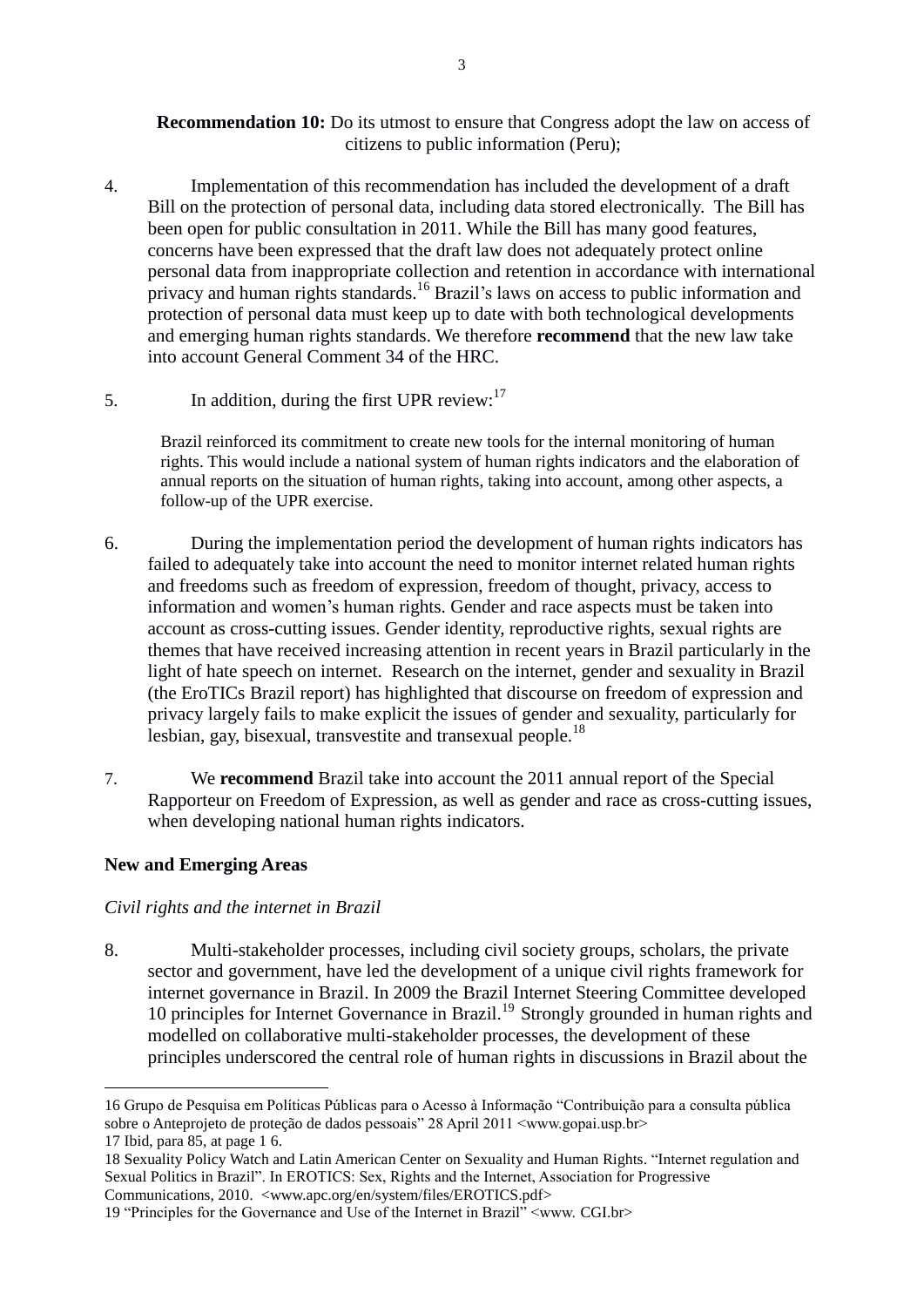#### **Recommendation 10:** Do its utmost to ensure that Congress adopt the law on access of citizens to public information (Peru);

- 4. Implementation of this recommendation has included the development of a draft Bill on the protection of personal data, including data stored electronically. The Bill has been open for public consultation in 2011. While the Bill has many good features, concerns have been expressed that the draft law does not adequately protect online personal data from inappropriate collection and retention in accordance with international privacy and human rights standards.<sup>16</sup> Brazil's laws on access to public information and protection of personal data must keep up to date with both technological developments and emerging human rights standards. We therefore **recommend** that the new law take into account General Comment 34 of the HRC.
- 5. In addition, during the first UPR review:  $17$

Brazil reinforced its commitment to create new tools for the internal monitoring of human rights. This would include a national system of human rights indicators and the elaboration of annual reports on the situation of human rights, taking into account, among other aspects, a follow-up of the UPR exercise.

- 6. During the implementation period the development of human rights indicators has failed to adequately take into account the need to monitor internet related human rights and freedoms such as freedom of expression, freedom of thought, privacy, access to information and women's human rights. Gender and race aspects must be taken into account as cross-cutting issues. Gender identity, reproductive rights, sexual rights are themes that have received increasing attention in recent years in Brazil particularly in the light of hate speech on internet. Research on the internet, gender and sexuality in Brazil (the EroTICs Brazil report) has highlighted that discourse on freedom of expression and privacy largely fails to make explicit the issues of gender and sexuality, particularly for lesbian, gay, bisexual, transvestite and transexual people.<sup>18</sup>
- 7. We **recommend** Brazil take into account the 2011 annual report of the Special Rapporteur on Freedom of Expression, as well as gender and race as cross-cutting issues, when developing national human rights indicators.

# **New and Emerging Areas**

<u>.</u>

# *Civil rights and the internet in Brazil*

8. Multi-stakeholder processes, including civil society groups, scholars, the private sector and government, have led the development of a unique civil rights framework for internet governance in Brazil. In 2009 the Brazil Internet Steering Committee developed 10 principles for Internet Governance in Brazil.<sup>19</sup> Strongly grounded in human rights and modelled on collaborative multi-stakeholder processes, the development of these principles underscored the central role of human rights in discussions in Brazil about the

<sup>16</sup> Grupo de Pesquisa em Políticas Públicas para o Acesso à Informação "Contribuição para a consulta pública sobre o Anteprojeto de proteção de dados pessoais" 28 April 2011 <www.gopai.usp.br> 17 Ibid, para 85, at page 1 6.

<sup>18</sup> Sexuality Policy Watch and Latin American Center on Sexuality and Human Rights. "Internet regulation and Sexual Politics in Brazil". In EROTICS: Sex, Rights and the Internet, Association for Progressive Communications, 2010. <www.apc.org/en/system/files/EROTICS.pdf>

<sup>19</sup> "Principles for the Governance and Use of the Internet in Brazil" <www. CGI.br>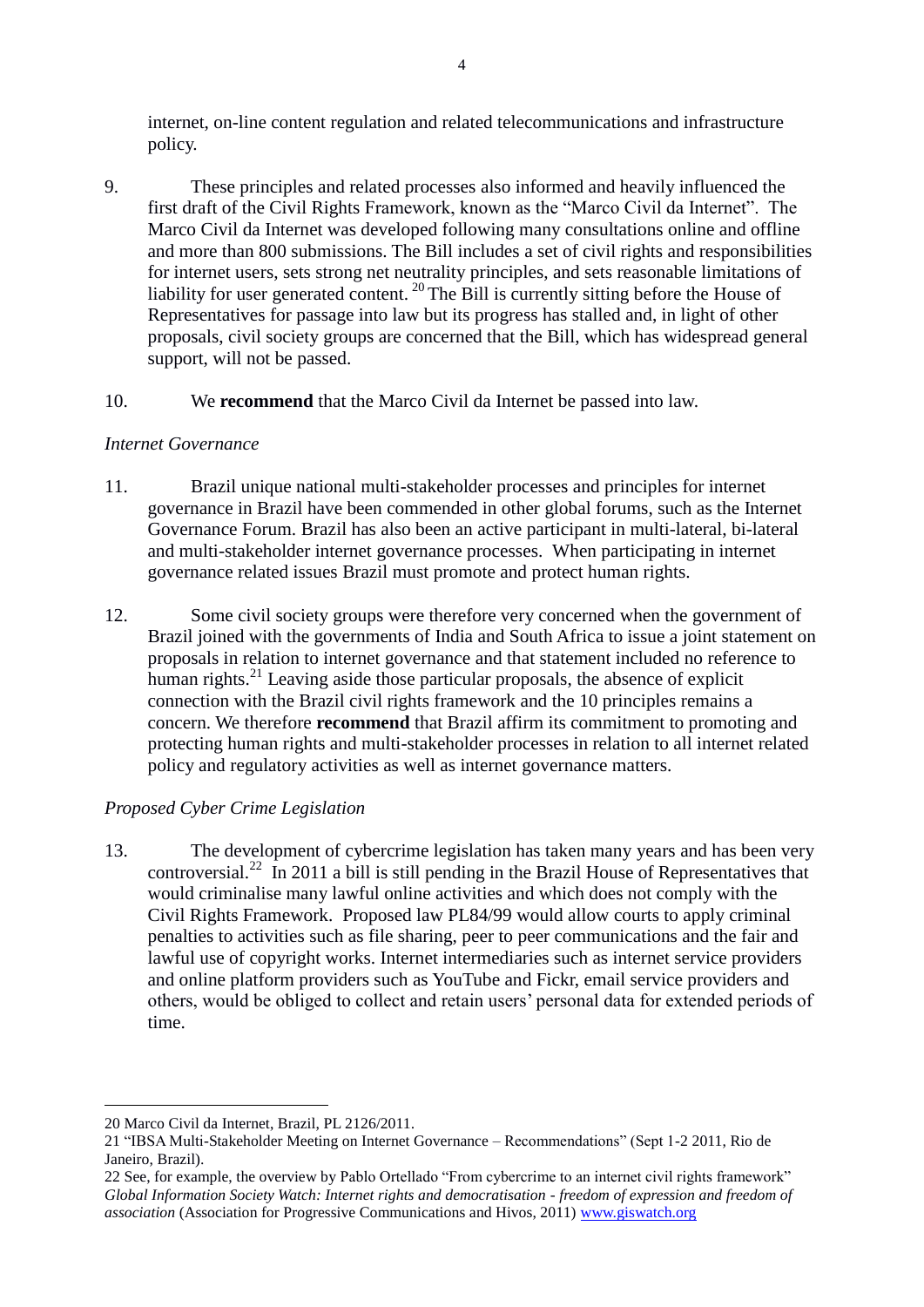internet, on-line content regulation and related telecommunications and infrastructure policy.

9. These principles and related processes also informed and heavily influenced the first draft of the Civil Rights Framework, known as the "Marco Civil da Internet". The Marco Civil da Internet was developed following many consultations online and offline and more than 800 submissions. The Bill includes a set of civil rights and responsibilities for internet users, sets strong net neutrality principles, and sets reasonable limitations of liability for user generated content.<sup>20</sup> The Bill is currently sitting before the House of Representatives for passage into law but its progress has stalled and, in light of other proposals, civil society groups are concerned that the Bill, which has widespread general support, will not be passed.

#### 10. We **recommend** that the Marco Civil da Internet be passed into law.

#### *Internet Governance*

- 11. Brazil unique national multi-stakeholder processes and principles for internet governance in Brazil have been commended in other global forums, such as the Internet Governance Forum. Brazil has also been an active participant in multi-lateral, bi-lateral and multi-stakeholder internet governance processes. When participating in internet governance related issues Brazil must promote and protect human rights.
- 12. Some civil society groups were therefore very concerned when the government of Brazil joined with the governments of India and South Africa to issue a joint statement on proposals in relation to internet governance and that statement included no reference to human rights.<sup>21</sup> Leaving aside those particular proposals, the absence of explicit connection with the Brazil civil rights framework and the 10 principles remains a concern. We therefore **recommend** that Brazil affirm its commitment to promoting and protecting human rights and multi-stakeholder processes in relation to all internet related policy and regulatory activities as well as internet governance matters.

# *Proposed Cyber Crime Legislation*

13. The development of cybercrime legislation has taken many years and has been very controversial.<sup>22</sup> In 2011 a bill is still pending in the Brazil House of Representatives that would criminalise many lawful online activities and which does not comply with the Civil Rights Framework. Proposed law PL84/99 would allow courts to apply criminal penalties to activities such as file sharing, peer to peer communications and the fair and lawful use of copyright works. Internet intermediaries such as internet service providers and online platform providers such as YouTube and Fickr, email service providers and others, would be obliged to collect and retain users' personal data for extended periods of time.

1

<sup>20</sup> Marco Civil da Internet, Brazil, PL 2126/2011.

<sup>21</sup> "IBSA Multi-Stakeholder Meeting on Internet Governance – Recommendations" (Sept 1-2 2011, Rio de Janeiro, Brazil).

<sup>22</sup> See, for example, the overview by Pablo Ortellado "From cybercrime to an internet civil rights framework" *Global Information Society Watch: Internet rights and democratisation - freedom of expression and freedom of association* (Association for Progressive Communications and Hivos, 2011) [www.giswatch.org](http://www.giswatch.org/)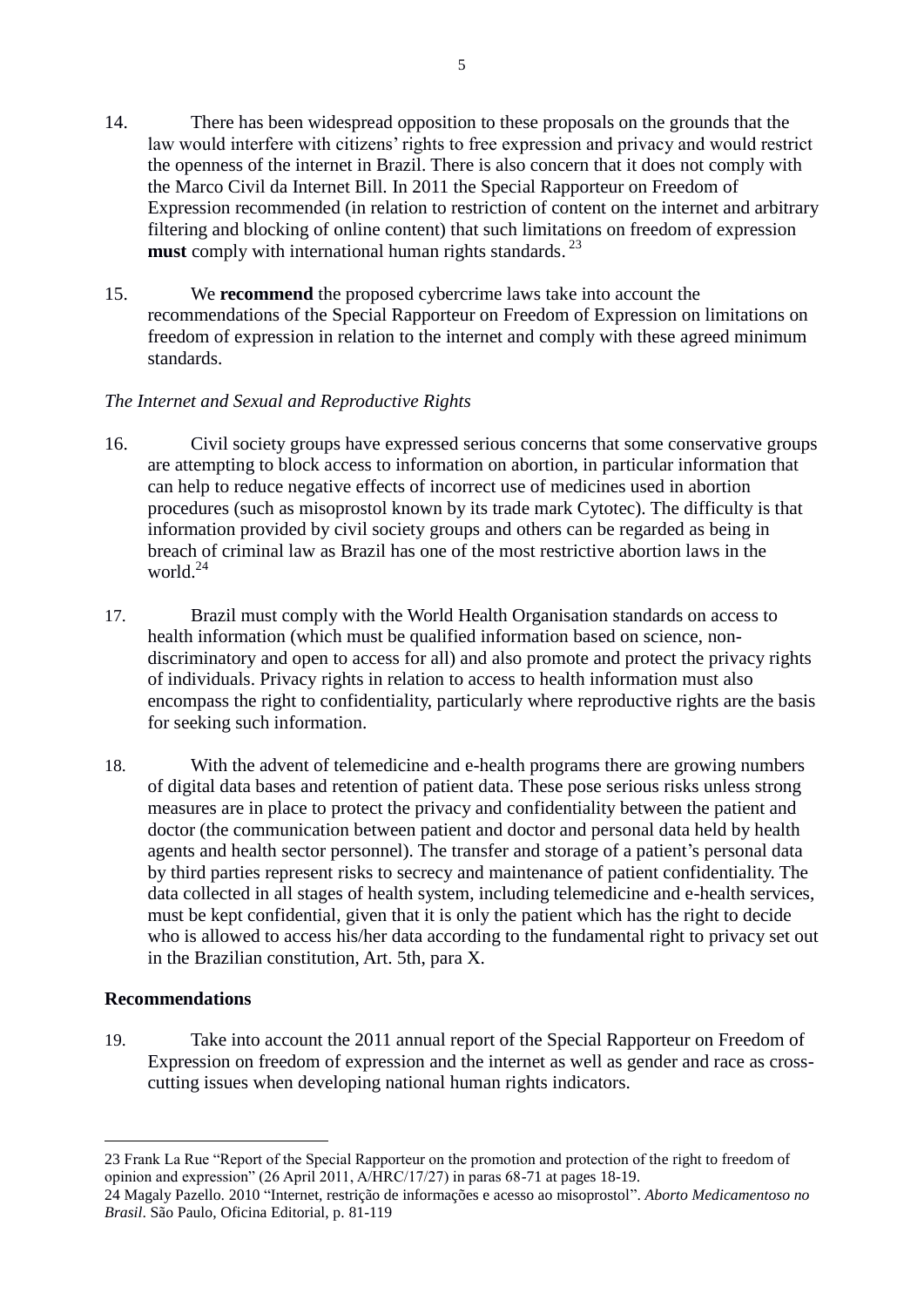- 14. There has been widespread opposition to these proposals on the grounds that the law would interfere with citizens' rights to free expression and privacy and would restrict the openness of the internet in Brazil. There is also concern that it does not comply with the Marco Civil da Internet Bill. In 2011 the Special Rapporteur on Freedom of Expression recommended (in relation to restriction of content on the internet and arbitrary filtering and blocking of online content) that such limitations on freedom of expression must comply with international human rights standards.<sup>23</sup>
- 15. We **recommend** the proposed cybercrime laws take into account the recommendations of the Special Rapporteur on Freedom of Expression on limitations on freedom of expression in relation to the internet and comply with these agreed minimum standards.

#### *The Internet and Sexual and Reproductive Rights*

- 16. Civil society groups have expressed serious concerns that some conservative groups are attempting to block access to information on abortion, in particular information that can help to reduce negative effects of incorrect use of medicines used in abortion procedures (such as misoprostol known by its trade mark Cytotec). The difficulty is that information provided by civil society groups and others can be regarded as being in breach of criminal law as Brazil has one of the most restrictive abortion laws in the world $^{24}$
- 17. Brazil must comply with the World Health Organisation standards on access to health information (which must be qualified information based on science, nondiscriminatory and open to access for all) and also promote and protect the privacy rights of individuals. Privacy rights in relation to access to health information must also encompass the right to confidentiality, particularly where reproductive rights are the basis for seeking such information.
- 18. With the advent of telemedicine and e-health programs there are growing numbers of digital data bases and retention of patient data. These pose serious risks unless strong measures are in place to protect the privacy and confidentiality between the patient and doctor (the communication between patient and doctor and personal data held by health agents and health sector personnel). The transfer and storage of a patient's personal data by third parties represent risks to secrecy and maintenance of patient confidentiality. The data collected in all stages of health system, including telemedicine and e-health services, must be kept confidential, given that it is only the patient which has the right to decide who is allowed to access his/her data according to the fundamental right to privacy set out in the Brazilian constitution, Art. 5th, para X.

# **Recommendations**

1

19. Take into account the 2011 annual report of the Special Rapporteur on Freedom of Expression on freedom of expression and the internet as well as gender and race as crosscutting issues when developing national human rights indicators.

<sup>23</sup> Frank La Rue "Report of the Special Rapporteur on the promotion and protection of the right to freedom of opinion and expression" (26 April 2011, A/HRC/17/27) in paras 68-71 at pages 18-19.

<sup>24</sup> Magaly Pazello. 2010 "Internet, restrição de informações e acesso ao misoprostol". *Aborto Medicamentoso no Brasil*. São Paulo, Oficina Editorial, p. 81-119